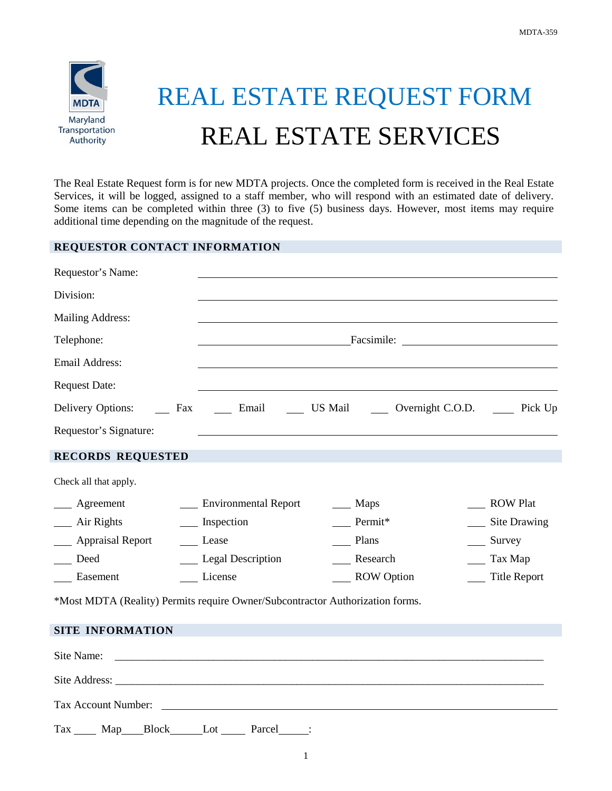

## REAL ESTATE REQUEST FORM REAL ESTATE SERVICES

The Real Estate Request form is for new MDTA projects. Once the completed form is received in the Real Estate Services, it will be logged, assigned to a staff member, who will respond with an estimated date of delivery. Some items can be completed within three (3) to five (5) business days. However, most items may require additional time depending on the magnitude of the request.

## **REQUESTOR CONTACT INFORMATION**

| Requestor's Name:                                                             |                          |                                                                              |                      |  |
|-------------------------------------------------------------------------------|--------------------------|------------------------------------------------------------------------------|----------------------|--|
| Division:                                                                     |                          |                                                                              |                      |  |
| <b>Mailing Address:</b>                                                       |                          |                                                                              |                      |  |
| Telephone:                                                                    |                          |                                                                              |                      |  |
| <b>Email Address:</b>                                                         |                          |                                                                              |                      |  |
| <b>Request Date:</b>                                                          |                          |                                                                              |                      |  |
| Delivery Options:                                                             |                          | Fax ______ Email _________ US Mail _______ Overnight C.O.D. ________ Pick Up |                      |  |
| Requestor's Signature:                                                        |                          | <u> 1989 - Johann Stoff, amerikansk politiker (d. 1989)</u>                  |                      |  |
| <b>RECORDS REQUESTED</b>                                                      |                          |                                                                              |                      |  |
| Check all that apply.                                                         |                          |                                                                              |                      |  |
| $\qquad$ Agreement                                                            | ___ Environmental Report | $\frac{M}{2}$ Maps                                                           | <b>ROW Plat</b>      |  |
| $\frac{1}{2}$ Air Rights                                                      | __ Inspection            | Permit*                                                                      | __ Site Drawing      |  |
| <b>Example 3</b> Appraisal Report                                             | Lease                    | Plans                                                                        | $\frac{\ }{}$ Survey |  |
| Deed                                                                          | __ Legal Description     | Research                                                                     | Tax Map              |  |
| Easement                                                                      | License                  | __ ROW Option                                                                | <b>Title Report</b>  |  |
| *Most MDTA (Reality) Permits require Owner/Subcontractor Authorization forms. |                          |                                                                              |                      |  |
| <b>SITE INFORMATION</b>                                                       |                          |                                                                              |                      |  |
| Site Name:                                                                    |                          |                                                                              |                      |  |
|                                                                               |                          |                                                                              |                      |  |
|                                                                               |                          |                                                                              |                      |  |

Tax Account Number:

Tax Map Block Lot Parcel :